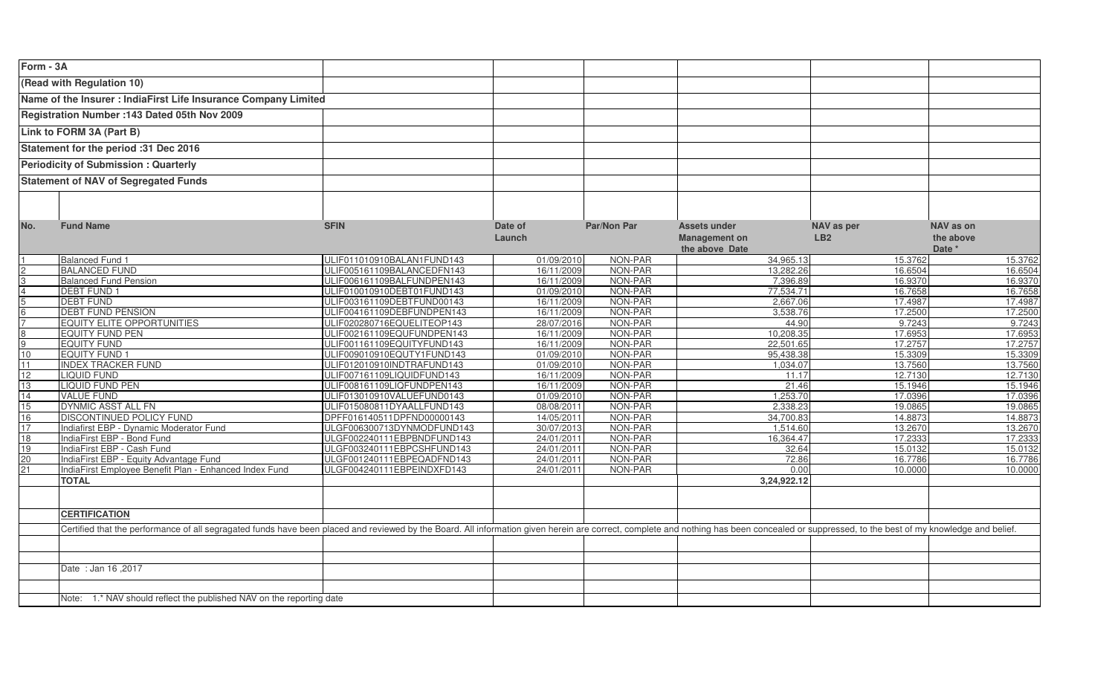| Form - 3A                                   |                                                                                                                                                                                                                                |                            |            |             |                                        |            |                   |
|---------------------------------------------|--------------------------------------------------------------------------------------------------------------------------------------------------------------------------------------------------------------------------------|----------------------------|------------|-------------|----------------------------------------|------------|-------------------|
|                                             | (Read with Regulation 10)                                                                                                                                                                                                      |                            |            |             |                                        |            |                   |
|                                             | Name of the Insurer : IndiaFirst Life Insurance Company Limited                                                                                                                                                                |                            |            |             |                                        |            |                   |
|                                             |                                                                                                                                                                                                                                |                            |            |             |                                        |            |                   |
|                                             | Registration Number :143 Dated 05th Nov 2009                                                                                                                                                                                   |                            |            |             |                                        |            |                   |
|                                             | Link to FORM 3A (Part B)                                                                                                                                                                                                       |                            |            |             |                                        |            |                   |
| Statement for the period :31 Dec 2016       |                                                                                                                                                                                                                                |                            |            |             |                                        |            |                   |
| <b>Periodicity of Submission: Quarterly</b> |                                                                                                                                                                                                                                |                            |            |             |                                        |            |                   |
|                                             |                                                                                                                                                                                                                                |                            |            |             |                                        |            |                   |
|                                             | <b>Statement of NAV of Segregated Funds</b>                                                                                                                                                                                    |                            |            |             |                                        |            |                   |
|                                             |                                                                                                                                                                                                                                |                            |            |             |                                        |            |                   |
|                                             |                                                                                                                                                                                                                                |                            |            |             |                                        |            |                   |
| No.                                         | <b>Fund Name</b>                                                                                                                                                                                                               | <b>SFIN</b>                | Date of    | Par/Non Par | <b>Assets under</b>                    | NAV as per | NAV as on         |
|                                             |                                                                                                                                                                                                                                |                            | Launch     |             | <b>Management on</b><br>the above Date | LB2        | the above         |
|                                             | <b>Balanced Fund 1</b>                                                                                                                                                                                                         | ULIF011010910BALAN1FUND143 | 01/09/2010 | NON-PAR     | 34,965.13                              | 15.3762    | Date *<br>15.3762 |
|                                             | <b>BALANCED FUND</b>                                                                                                                                                                                                           | JLIF005161109BALANCEDFN143 | 16/11/2009 | NON-PAR     | 13.282.26                              | 16.6504    | 16.6504           |
|                                             | <b>Balanced Fund Pension</b>                                                                                                                                                                                                   | JLIF006161109BALFUNDPEN143 | 16/11/2009 | NON-PAR     | 7.396.89                               | 16.9370    | 16.9370           |
|                                             | <b>DEBT FUND 1</b>                                                                                                                                                                                                             | ULIF010010910DEBT01FUND143 | 01/09/2010 | NON-PAR     | 77,534.71                              | 16.7658    | 16.7658           |
|                                             | <b>DEBT FUND</b>                                                                                                                                                                                                               | ULIF003161109DEBTFUND00143 | 16/11/2009 | NON-PAR     | 2,667.06                               | 17.4987    | 17.4987           |
|                                             | <b>DEBT FUND PENSION</b>                                                                                                                                                                                                       | ULIF004161109DEBFUNDPEN143 | 16/11/2009 | NON-PAR     | 3,538.76                               | 17.2500    | 17.2500           |
|                                             | <b>EQUITY ELITE OPPORTUNITIES</b>                                                                                                                                                                                              | ULIF020280716EQUELITEOP143 | 28/07/2016 | NON-PAR     | 44.90                                  | 9.7243     | 9.7243            |
|                                             | <b>EQUITY FUND PEN</b>                                                                                                                                                                                                         | ULIF002161109EQUFUNDPEN143 | 16/11/2009 | NON-PAR     | 10.208.35                              | 17.6953    | 17.6953           |
| 9                                           | <b>EQUITY FUND</b>                                                                                                                                                                                                             | ULIF001161109EQUITYFUND143 | 16/11/2009 | NON-PAR     | 22.501.65                              | 17.2757    | 17.2757           |
| 10 <sup>1</sup>                             | <b>EQUITY FUND 1</b>                                                                                                                                                                                                           | ULIF009010910EQUTY1FUND143 | 01/09/2010 | NON-PAR     | 95.438.38                              | 15.3309    | 15.3309           |
| 11                                          | <b>NDEX TRACKER FUND</b>                                                                                                                                                                                                       | ULIF012010910INDTRAFUND143 | 01/09/2010 | NON-PAR     | .034.07                                | 13.7560    | 13.7560           |
| 12                                          | <b>IQUID FUND</b>                                                                                                                                                                                                              | ULIF007161109LIQUIDFUND143 | 16/11/2009 | NON-PAR     | 11.17                                  | 12.7130    | 12.7130           |
| 13                                          | <b>LIQUID FUND PEN</b>                                                                                                                                                                                                         | ULIF008161109LIQFUNDPEN143 | 16/11/2009 | NON-PAR     | 21.46                                  | 15.1946    | 15.1946           |
| 14                                          | <b>VALUE FUND</b>                                                                                                                                                                                                              | ULIF013010910VALUEFUND0143 | 01/09/2010 | NON-PAR     | 1.253.70                               | 17.0396    | 17.0396           |
| 15                                          | DYNMIC ASST ALL FN                                                                                                                                                                                                             | JLIF015080811DYAALLFUND143 | 08/08/2011 | NON-PAR     | 2,338.23                               | 19.0865    | 19.0865           |
| 16                                          | <b>DISCONTINUED POLICY FUND</b>                                                                                                                                                                                                | DPFF016140511DPFND00000143 | 14/05/2011 | NON-PAR     | 34,700.83                              | 14.8873    | 14.8873           |
| 17                                          | Indiafirst EBP - Dynamic Moderator Fund                                                                                                                                                                                        | JLGF006300713DYNMODFUND143 | 30/07/2013 | NON-PAR     | 1.514.60                               | 13.2670    | 13.2670           |
| $\overline{18}$                             | IndiaFirst EBP - Bond Fund                                                                                                                                                                                                     | ULGF002240111EBPBNDFUND143 | 24/01/2011 | NON-PAR     | 16,364.47                              | 17.2333    | 17.2333           |
| 19                                          | ndiaFirst EBP - Cash Fund                                                                                                                                                                                                      | ULGF003240111EBPCSHFUND143 | 24/01/2011 | NON-PAR     | 32.64                                  | 15.0132    | 15.0132           |
| 20 <sup>2</sup>                             | IndiaFirst EBP - Equity Advantage Fund                                                                                                                                                                                         | ULGF001240111EBPEQADFND143 | 24/01/2011 | NON-PAR     | 72.86                                  | 16.7786    | 16.7786           |
| 21                                          | IndiaFirst Employee Benefit Plan - Enhanced Index Fund                                                                                                                                                                         | ULGF004240111EBPEINDXFD143 | 24/01/2011 | NON-PAR     | 0.00                                   | 10.0000    | 10.0000           |
|                                             | <b>TOTAL</b>                                                                                                                                                                                                                   |                            |            |             | 3,24,922.12                            |            |                   |
|                                             |                                                                                                                                                                                                                                |                            |            |             |                                        |            |                   |
|                                             | <b>CERTIFICATION</b>                                                                                                                                                                                                           |                            |            |             |                                        |            |                   |
|                                             |                                                                                                                                                                                                                                |                            |            |             |                                        |            |                   |
|                                             | Certified that the performance of all segragated funds have been placed and reviewed by the Board. All information given herein are correct, complete and nothing has been concealed or suppressed, to the best of my knowledg |                            |            |             |                                        |            |                   |
|                                             |                                                                                                                                                                                                                                |                            |            |             |                                        |            |                   |
|                                             | Date: Jan 16,2017                                                                                                                                                                                                              |                            |            |             |                                        |            |                   |
|                                             |                                                                                                                                                                                                                                |                            |            |             |                                        |            |                   |
|                                             |                                                                                                                                                                                                                                |                            |            |             |                                        |            |                   |
|                                             | Note: 1.* NAV should reflect the published NAV on the reporting date                                                                                                                                                           |                            |            |             |                                        |            |                   |